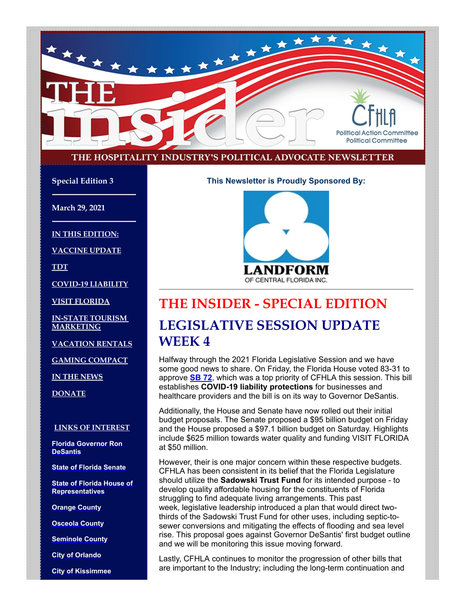

#### THE HOSPITALITY INDUSTRY'S POLITICAL ADVOCATE NEWSLETTER

**Special Edition 3**

**March 29, 2021**

**IN THIS EDITION:**

**VACCINE UPDATE**

**TDT**

**COVID-19 LIABILITY**

**VISIT FLORIDA**

**IN-STATE TOURISM MARKETING**

**VACATION RENTALS**

**GAMING COMPACT**

**IN THE NEWS**

**DONATE**

#### **LINKS OF INTEREST**

**[Florida Governor Ron](http://www.flgov.com/) DeSantis**

**[State of Florida Senate](http://www.flsenate.gov/)**

**[State of Florida House of](http://www.myfloridahouse.gov/) Representatives**

**[Orange County](http://www.orangecountyfl.net/)**

**[Osceola County](http://www.osceola.org/)**

**[Seminole County](http://www.seminolecountyfl.gov/)**

**[City of Orlando](http://www.cityoforlando.net/)**

**[City of Kissimmee](http://www.kissimmee.org/)**

**This Newsletter is Proudly Sponsored By:**



## **THE INSIDER - SPECIAL EDITION LEGISLATIVE SESSION UPDATE**

### **WEEK 4**

Halfway through the 2021 Florida Legislative Session and we have some good news to share. On Friday, the Florida House voted 83-31 to approve **[SB 72](https://www.flsenate.gov/Session/Bill/2021/72)**, which was a top priority of CFHLA this session. This bill establishes **COVID-19 liability protections** for businesses and healthcare providers and the bill is on its way to Governor DeSantis.

Additionally, the House and Senate have now rolled out their initial budget proposals. The Senate proposed a \$95 billion budget on Friday and the House proposed a \$97.1 billion budget on Saturday. Highlights include \$625 million towards water quality and funding VISIT FLORIDA at \$50 million.

However, their is one major concern within these respective budgets. CFHLA has been consistent in its belief that the Florida Legislature should utilize the **Sadowski Trust Fund** for its intended purpose - to develop quality affordable housing for the constituents of Florida struggling to find adequate living arrangements. This past week, legislative leadership introduced a plan that would direct twothirds of the Sadowski Trust Fund for other uses, including septic-tosewer conversions and mitigating the effects of flooding and sea level rise. This proposal goes against Governor DeSantis' first budget outline and we will be monitoring this issue moving forward.

Lastly, CFHLA continues to monitor the progression of other bills that are important to the Industry; including the long-term continuation and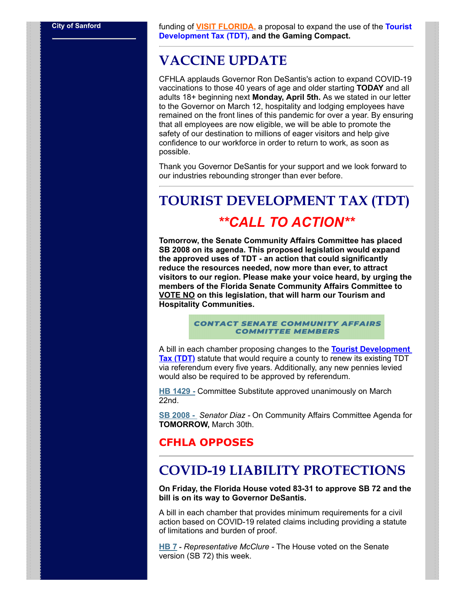**[City of Sanford](http://www.sanfordfl.gov/)** funding of **[VISIT FLORIDA,](https://www.visitflorida.com/en-us.html)** a proposal to expand the use of the **Tourist Development Tax (TDT), and the Gaming Compact.**

### **VACCINE UPDATE**

CFHLA applauds Governor Ron DeSantis's action to expand COVID-19 vaccinations to those 40 years of age and older starting **TODAY** and all adults 18+ beginning next **Monday, April 5th.** As we stated in our letter to the Governor on March 12, hospitality and lodging employees have remained on the front lines of this pandemic for over a year. By ensuring that all employees are now eligible, we will be able to promote the safety of our destination to millions of eager visitors and help give confidence to our workforce in order to return to work, as soon as possible.

Thank you Governor DeSantis for your support and we look forward to our industries rebounding stronger than ever before.

## **TOURIST DEVELOPMENT TAX (TDT)** *\*\*CALL TO ACTION\*\**

**Tomorrow, the Senate Community Affairs Committee has placed SB 2008 on its agenda. This proposed legislation would expand the approved uses of TDT - an action that could significantly reduce the resources needed, now more than ever, to attract visitors to our region. Please make your voice heard, by urging the members of the Florida Senate Community Affairs Committee to VOTE NO on this legislation, that will harm our Tourism and Hospitality Communities.**

> **CONTACT SENATE COMMUNITY AFFAIRS COMMITTEE MEMBERS**

A bill in each chamber proposing changes to the **Tourist Development Tax (TDT)** statute that would require a county to renew its existing TDT via referendum every five years. Additionally, any new pennies levied would also be required to be approved by referendum.

**HB 1429 -** Committee Substitute approved unanimously on March 22nd.

**SB 2008 -** *Senator Diaz -* On Community Affairs Committee Agenda for **TOMORROW,** March 30th.

### **CFHLA OPPOSES**

### **COVID-19 LIABILITY PROTECTIONS**

**On Friday, the Florida House voted 83-31 to approve SB 72 and the bill is on its way to Governor DeSantis.**

A bill in each chamber that provides minimum requirements for a civil action based on COVID-19 related claims including providing a statute of limitations and burden of proof.

**HB 7 -** *Representative McClure -* The House voted on the Senate version (SB 72) this week.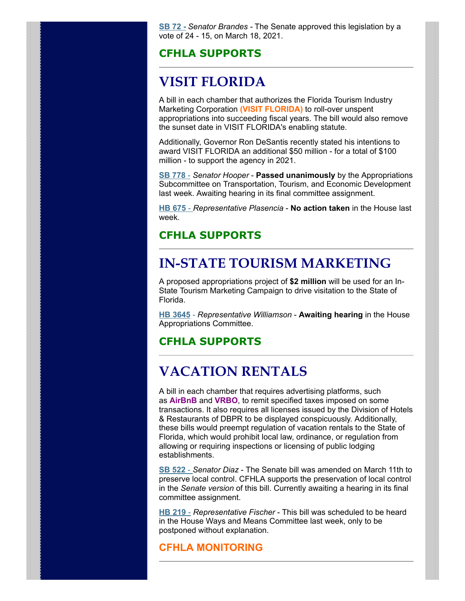**SB 72 -** *Senator Brandes -* The Senate approved this legislation by a vote of 24 - 15, on March 18, 2021.

#### **CFHLA SUPPORTS**

## **VISIT FLORIDA**

A bill in each chamber that authorizes the Florida Tourism Industry Marketing Corporation **(VISIT FLORIDA)** to roll-over unspent appropriations into succeeding fiscal years. The bill would also remove the sunset date in VISIT FLORIDA's enabling statute.

Additionally, Governor Ron DeSantis recently stated his intentions to award VISIT FLORIDA an additional \$50 million - for a total of \$100 million - to support the agency in 2021.

**SB 778** - *Senator Hooper* - **Passed unanimously** by the Appropriations Subcommittee on Transportation, Tourism, and Economic Development last week. Awaiting hearing in its final committee assignment.

**HB 675** - *Representative Plasencia* - **No action taken** in the House last week.

#### **CFHLA SUPPORTS**

### **IN-STATE TOURISM MARKETING**

A proposed appropriations project of **\$2 million** will be used for an In-State Tourism Marketing Campaign to drive visitation to the State of Florida.

**HB 3645** - *Representative Williamson* - **Awaiting hearing** in the House Appropriations Committee.

#### **CFHLA SUPPORTS**

## **VACATION RENTALS**

A bill in each chamber that requires advertising platforms, such as **AirBnB** and **VRBO**, to remit specified taxes imposed on some transactions. It also requires all licenses issued by the Division of Hotels & Restaurants of DBPR to be displayed conspicuously. Additionally, these bills would preempt regulation of vacation rentals to the State of Florida, which would prohibit local law, ordinance, or regulation from allowing or requiring inspections or licensing of public lodging establishments.

**SB 522** - *Senator Diaz* - The Senate bill was amended on March 11th to preserve local control. CFHLA supports the preservation of local control in the *Senate version* of this bill. Currently awaiting a hearing in its final committee assignment.

**HB 219** - *Representative Fischer* - This bill was scheduled to be heard in the House Ways and Means Committee last week, only to be postponed without explanation.

#### **CFHLA MONITORING**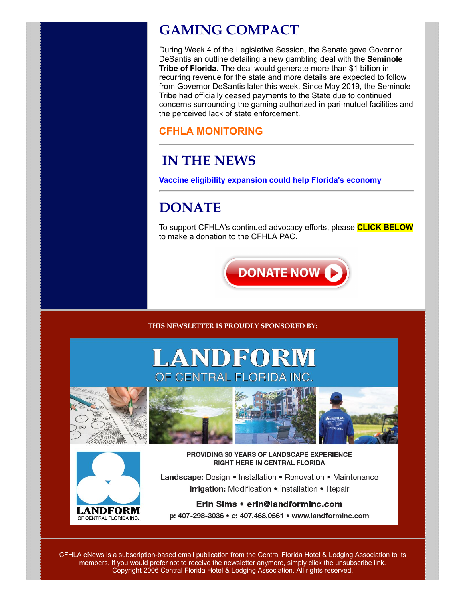## **GAMING COMPACT**

During Week 4 of the Legislative Session, the Senate gave Governor DeSantis an outline detailing a new gambling deal with the **Seminole Tribe of Florida**. The deal would generate more than \$1 billion in recurring revenue for the state and more details are expected to follow from Governor DeSantis later this week. Since May 2019, the Seminole Tribe had officially ceased payments to the State due to continued concerns surrounding the gaming authorized in pari-mutuel facilities and the perceived lack of state enforcement.

### **CFHLA MONITORING**

## **IN THE NEWS**

**[Vaccine eligibility expansion could help Florida's economy](https://www.clickorlando.com/news/2021/03/26/vaccine-eligibility-expansion-could-help-floridas-economy/)**

## **DONATE**

To support CFHLA's continued advocacy efforts, please **CLICK BELOW** to make a donation to the CFHLA PAC.



**THIS NEWSLETTER IS PROUDLY SPONSORED BY:**

# LANDFORM OF CENTRAL FLORID







PROVIDING 30 YEARS OF LANDSCAPE EXPERIENCE **RIGHT HERE IN CENTRAL FLORIDA** 

Landscape: Design • Installation • Renovation • Maintenance Irrigation: Modification . Installation . Repair

#### Erin Sims • erin@landforminc.com p: 407-298-3036 • c: 407.468.0561 • www.landforminc.com

CFHLA eNews is a subscription-based email publication from the Central Florida Hotel & Lodging Association to its members. If you would prefer not to receive the newsletter anymore, simply click the unsubscribe link. Copyright 2006 Central Florida Hotel & Lodging Association. All rights reserved.